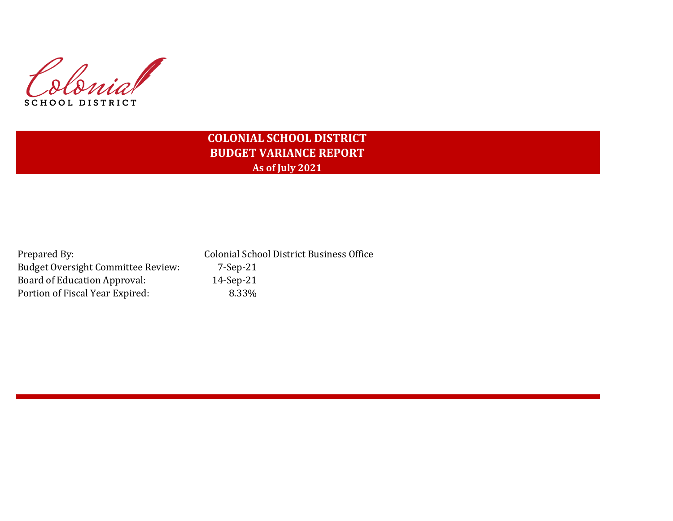Colonial SCHOOL DISTRICT

# **COLONIAL SCHOOL DISTRICT BUDGET VARIANCE REPORT As of July 2021**

| Prepared By:                              | <b>Colonial School District Business Office</b> |
|-------------------------------------------|-------------------------------------------------|
| <b>Budget Oversight Committee Review:</b> | 7-Sep-21                                        |
| Board of Education Approval:              | $14-Sep-21$                                     |
| Portion of Fiscal Year Expired:           | 8.33%                                           |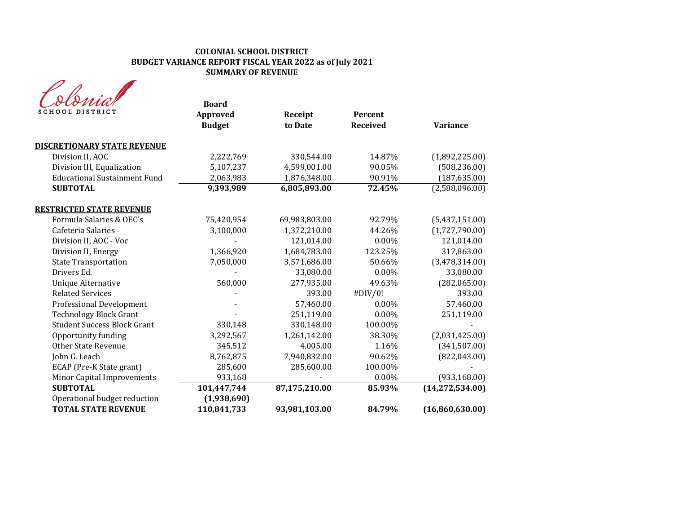| SCHOOL DISTRICT                     | <b>Board</b><br>Approved | Receipt       | <b>Percent</b>  |                   |
|-------------------------------------|--------------------------|---------------|-----------------|-------------------|
|                                     | <b>Budget</b>            | to Date       | <b>Received</b> | <b>Variance</b>   |
| <b>DISCRETIONARY STATE REVENUE</b>  |                          |               |                 |                   |
| Division II, AOC                    | 2,222,769                | 330,544.00    | 14.87%          | (1,892,225.00)    |
| Division III, Equalization          | 5,107,237                | 4,599,001.00  | 90.05%          | (508, 236.00)     |
| <b>Educational Sustainment Fund</b> | 2,063,983                | 1,876,348.00  | 90.91%          | (187, 635.00)     |
| <b>SUBTOTAL</b>                     | 9,393,989                | 6,805,893.00  | 72.45%          | (2,588,096.00)    |
| <b>RESTRICTED STATE REVENUE</b>     |                          |               |                 |                   |
| Formula Salaries & OEC's            | 75,420,954               | 69,983,803.00 | 92.79%          | (5,437,151.00)    |
| Cafeteria Salaries                  | 3,100,000                | 1,372,210.00  | 44.26%          | (1,727,790.00)    |
| Division II, AOC - Voc              |                          | 121,014.00    | $0.00\%$        | 121,014.00        |
| Division II, Energy                 | 1,366,920                | 1,684,783.00  | 123.25%         | 317,863.00        |
| <b>State Transportation</b>         | 7,050,000                | 3,571,686.00  | 50.66%          | (3,478,314.00)    |
| Drivers Ed.                         |                          | 33,080.00     | 0.00%           | 33,080.00         |
| <b>Unique Alternative</b>           | 560,000                  | 277,935.00    | 49.63%          | (282,065.00)      |
| <b>Related Services</b>             |                          | 393.00        | #DIV/0!         | 393.00            |
| <b>Professional Development</b>     |                          | 57,460.00     | $0.00\%$        | 57,460.00         |
| <b>Technology Block Grant</b>       |                          | 251,119.00    | $0.00\%$        | 251,119.00        |
| <b>Student Success Block Grant</b>  | 330,148                  | 330,148.00    | 100.00%         |                   |
| Opportunity funding                 | 3,292,567                | 1,261,142.00  | 38.30%          | (2,031,425.00)    |
| <b>Other State Revenue</b>          | 345,512                  | 4,005.00      | 1.16%           | (341, 507.00)     |
| John G. Leach                       | 8,762,875                | 7,940,832.00  | 90.62%          | (822, 043.00)     |
| ECAP (Pre-K State grant)            | 285,600                  | 285,600.00    | 100.00%         |                   |
| Minor Capital Improvements          | 933,168                  |               | 0.00%           | (933, 168.00)     |
| <b>SUBTOTAL</b>                     | 101,447,744              | 87,175,210.00 | 85.93%          | (14, 272, 534.00) |
| Operational budget reduction        | (1,938,690)              |               |                 |                   |
| <b>TOTAL STATE REVENUE</b>          | 110,841,733              | 93,981,103.00 | 84.79%          | (16,860,630.00)   |
|                                     |                          |               |                 |                   |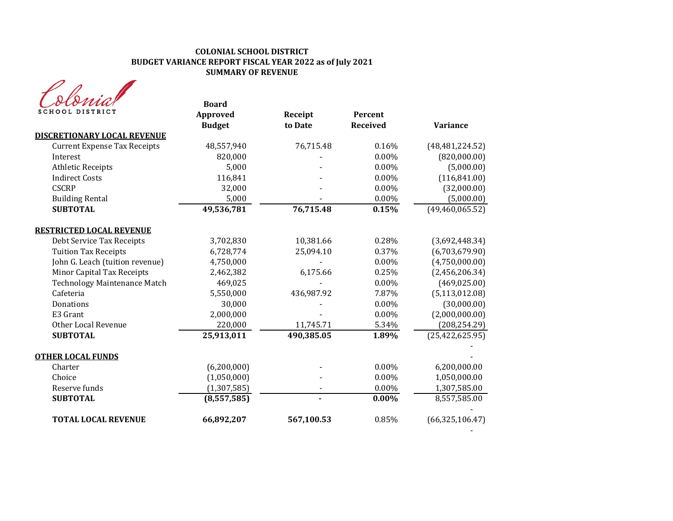| ma              |
|-----------------|
| SCHOOL DISTRICT |

| MU<br><b>SCHOOL DISTRICT</b>        | <b>Board</b><br><b>Approved</b><br><b>Budget</b> | Receipt<br>to Date | Percent<br><b>Received</b> | <b>Variance</b>   |
|-------------------------------------|--------------------------------------------------|--------------------|----------------------------|-------------------|
| <b>DISCRETIONARY LOCAL REVENUE</b>  |                                                  |                    |                            |                   |
| <b>Current Expense Tax Receipts</b> | 48,557,940                                       | 76,715.48          | 0.16%                      | (48, 481, 224.52) |
| Interest                            | 820,000                                          |                    | 0.00%                      | (820,000.00)      |
| <b>Athletic Receipts</b>            | 5,000                                            |                    | 0.00%                      | (5,000.00)        |
| <b>Indirect Costs</b>               | 116,841                                          |                    | $0.00\%$                   | (116, 841.00)     |
| <b>CSCRP</b>                        | 32,000                                           |                    | $0.00\%$                   | (32,000.00)       |
| <b>Building Rental</b>              | 5,000                                            |                    | 0.00%                      | (5,000.00)        |
| <b>SUBTOTAL</b>                     | 49,536,781                                       | 76,715.48          | 0.15%                      | (49, 460, 065.52) |
| <b>RESTRICTED LOCAL REVENUE</b>     |                                                  |                    |                            |                   |
| Debt Service Tax Receipts           | 3,702,830                                        | 10,381.66          | 0.28%                      | (3,692,448.34)    |
| <b>Tuition Tax Receipts</b>         | 6,728,774                                        | 25,094.10          | 0.37%                      | (6,703,679.90)    |
| John G. Leach (tuition revenue)     | 4,750,000                                        |                    | $0.00\%$                   | (4,750,000.00)    |
| Minor Capital Tax Receipts          | 2,462,382                                        | 6,175.66           | 0.25%                      | (2,456,206.34)    |
| <b>Technology Maintenance Match</b> | 469,025                                          |                    | $0.00\%$                   | (469, 025.00)     |
| Cafeteria                           | 5,550,000                                        | 436,987.92         | 7.87%                      | (5, 113, 012.08)  |
| Donations                           | 30,000                                           |                    | 0.00%                      | (30,000.00)       |
| E3 Grant                            | 2,000,000                                        |                    | 0.00%                      | (2,000,000.00)    |
| Other Local Revenue                 | 220,000                                          | 11,745.71          | 5.34%                      | (208, 254.29)     |
| <b>SUBTOTAL</b>                     | 25,913,011                                       | 490,385.05         | 1.89%                      | (25, 422, 625.95) |
| <b>OTHER LOCAL FUNDS</b>            |                                                  |                    |                            |                   |
| Charter                             | (6,200,000)                                      |                    | 0.00%                      | 6,200,000.00      |
| Choice                              | (1,050,000)                                      |                    | 0.00%                      | 1,050,000.00      |
| Reserve funds                       | (1, 307, 585)                                    |                    | 0.00%                      | 1,307,585.00      |
| <b>SUBTOTAL</b>                     | (8,557,585)                                      |                    | $0.00\%$                   | 8,557,585.00      |
| <b>TOTAL LOCAL REVENUE</b>          | 66,892,207                                       | 567,100.53         | 0.85%                      | (66, 325, 106.47) |

- 1990 - 1990 - 1991<br>1991 - 1992 - 1992 - 1992 - 1992 - 1992 - 1992 - 1992 - 1992 - 1992 - 1992 - 1992 - 1992 - 1992 - 1992 - 1992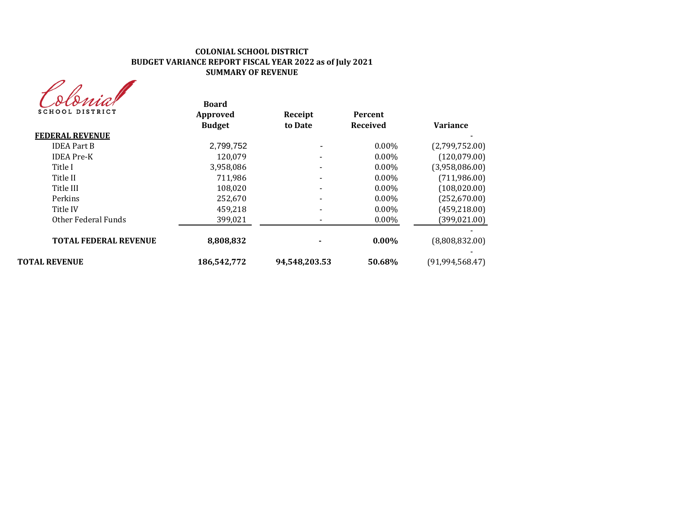| MUA             |
|-----------------|
| SCHOOL DISTRICT |

| stonia<br><b>SCHOOL DISTRICT</b> | <b>Board</b><br>Approved | Receipt                  | Percent         |                   |
|----------------------------------|--------------------------|--------------------------|-----------------|-------------------|
|                                  | <b>Budget</b>            | to Date                  | <b>Received</b> | <b>Variance</b>   |
| <b>FEDERAL REVENUE</b>           |                          |                          |                 |                   |
| <b>IDEA Part B</b>               | 2,799,752                |                          | $0.00\%$        | (2,799,752.00)    |
| <b>IDEA</b> Pre-K                | 120,079                  |                          | $0.00\%$        | (120,079.00)      |
| Title I                          | 3,958,086                | $\overline{\phantom{a}}$ | $0.00\%$        | (3,958,086.00)    |
| Title II                         | 711.986                  |                          | $0.00\%$        | (711, 986.00)     |
| Title III                        | 108,020                  | $\overline{\phantom{a}}$ | $0.00\%$        | (108, 020.00)     |
| Perkins                          | 252,670                  |                          | $0.00\%$        | (252, 670.00)     |
| Title IV                         | 459,218                  |                          | $0.00\%$        | (459, 218.00)     |
| Other Federal Funds              | 399,021                  |                          | $0.00\%$        | (399, 021.00)     |
| <b>TOTAL FEDERAL REVENUE</b>     | 8,808,832                |                          | $0.00\%$        | (8,808,832.00)    |
| <b>TOTAL REVENUE</b>             | 186.542.772              | 94.548.203.53            | 50.68%          | (91, 994, 568.47) |
|                                  |                          |                          |                 |                   |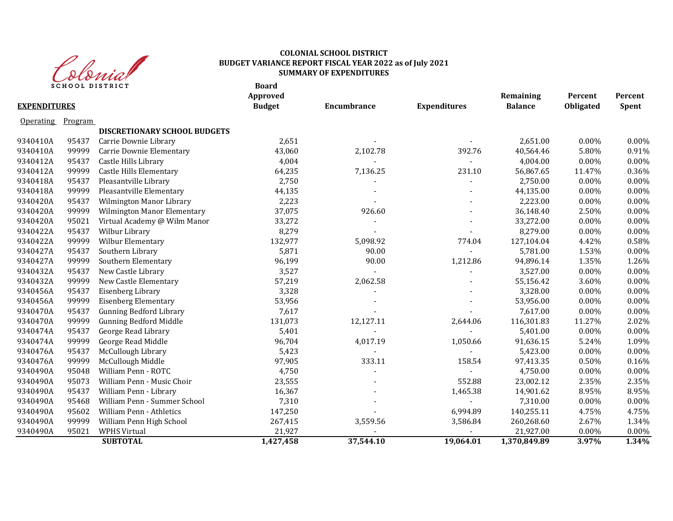

|                     |         | <b>SCHOOL DISTRICT</b>              | <b>Board</b><br>Approved |             |                     | Remaining      | Percent   | Percent |
|---------------------|---------|-------------------------------------|--------------------------|-------------|---------------------|----------------|-----------|---------|
| <b>EXPENDITURES</b> |         |                                     | <b>Budget</b>            | Encumbrance | <b>Expenditures</b> | <b>Balance</b> | Obligated | Spent   |
| Operating           | Program |                                     |                          |             |                     |                |           |         |
|                     |         | <b>DISCRETIONARY SCHOOL BUDGETS</b> |                          |             |                     |                |           |         |
| 9340410A            | 95437   | Carrie Downie Library               | 2,651                    |             |                     | 2,651.00       | $0.00\%$  | 0.00%   |
| 9340410A            | 99999   | Carrie Downie Elementary            | 43,060                   | 2,102.78    | 392.76              | 40,564.46      | 5.80%     | 0.91%   |
| 9340412A            | 95437   | Castle Hills Library                | 4,004                    |             |                     | 4,004.00       | 0.00%     | 0.00%   |
| 9340412A            | 99999   | Castle Hills Elementary             | 64,235                   | 7,136.25    | 231.10              | 56,867.65      | 11.47%    | 0.36%   |
| 9340418A            | 95437   | Pleasantville Library               | 2,750                    |             |                     | 2,750.00       | 0.00%     | 0.00%   |
| 9340418A            | 99999   | Pleasantville Elementary            | 44,135                   |             |                     | 44,135.00      | 0.00%     | 0.00%   |
| 9340420A            | 95437   | Wilmington Manor Library            | 2,223                    |             |                     | 2,223.00       | 0.00%     | 0.00%   |
| 9340420A            | 99999   | Wilmington Manor Elementary         | 37,075                   | 926.60      |                     | 36,148.40      | 2.50%     | 0.00%   |
| 9340420A            | 95021   | Virtual Academy @ Wilm Manor        | 33,272                   |             |                     | 33,272.00      | $0.00\%$  | 0.00%   |
| 9340422A            | 95437   | Wilbur Library                      | 8,279                    |             |                     | 8,279.00       | 0.00%     | 0.00%   |
| 9340422A            | 99999   | Wilbur Elementary                   | 132,977                  | 5,098.92    | 774.04              | 127,104.04     | 4.42%     | 0.58%   |
| 9340427A            | 95437   | Southern Library                    | 5,871                    | 90.00       |                     | 5,781.00       | 1.53%     | 0.00%   |
| 9340427A            | 99999   | Southern Elementary                 | 96,199                   | 90.00       | 1,212.86            | 94,896.14      | 1.35%     | 1.26%   |
| 9340432A            | 95437   | New Castle Library                  | 3,527                    |             |                     | 3,527.00       | 0.00%     | 0.00%   |
| 9340432A            | 99999   | New Castle Elementary               | 57,219                   | 2,062.58    |                     | 55,156.42      | 3.60%     | 0.00%   |
| 9340456A            | 95437   | Eisenberg Library                   | 3,328                    |             |                     | 3,328.00       | 0.00%     | 0.00%   |
| 9340456A            | 99999   | <b>Eisenberg Elementary</b>         | 53,956                   |             |                     | 53,956.00      | 0.00%     | 0.00%   |
| 9340470A            | 95437   | <b>Gunning Bedford Library</b>      | 7,617                    |             |                     | 7,617.00       | 0.00%     | 0.00%   |
| 9340470A            | 99999   | <b>Gunning Bedford Middle</b>       | 131,073                  | 12,127.11   | 2,644.06            | 116,301.83     | 11.27%    | 2.02%   |
| 9340474A            | 95437   | George Read Library                 | 5,401                    |             |                     | 5,401.00       | 0.00%     | 0.00%   |
| 9340474A            | 99999   | George Read Middle                  | 96,704                   | 4,017.19    | 1,050.66            | 91,636.15      | 5.24%     | 1.09%   |
| 9340476A            | 95437   | McCullough Library                  | 5,423                    |             |                     | 5,423.00       | 0.00%     | 0.00%   |
| 9340476A            | 99999   | McCullough Middle                   | 97,905                   | 333.11      | 158.54              | 97,413.35      | 0.50%     | 0.16%   |
| 9340490A            | 95048   | William Penn - ROTC                 | 4,750                    |             |                     | 4,750.00       | 0.00%     | 0.00%   |
| 9340490A            | 95073   | William Penn - Music Choir          | 23,555                   |             | 552.88              | 23,002.12      | 2.35%     | 2.35%   |
| 9340490A            | 95437   | William Penn - Library              | 16,367                   |             | 1,465.38            | 14,901.62      | 8.95%     | 8.95%   |
| 9340490A            | 95468   | William Penn - Summer School        | 7,310                    |             |                     | 7,310.00       | 0.00%     | 0.00%   |
| 9340490A            | 95602   | William Penn - Athletics            | 147,250                  |             | 6,994.89            | 140,255.11     | 4.75%     | 4.75%   |
| 9340490A            | 99999   | William Penn High School            | 267,415                  | 3,559.56    | 3,586.84            | 260,268.60     | 2.67%     | 1.34%   |
| 9340490A            | 95021   | <b>WPHS Virtual</b>                 | 21,927                   |             |                     | 21,927.00      | 0.00%     | 0.00%   |
|                     |         | <b>SUBTOTAL</b>                     | 1,427,458                | 37,544.10   | 19,064.01           | 1,370,849.89   | 3.97%     | 1.34%   |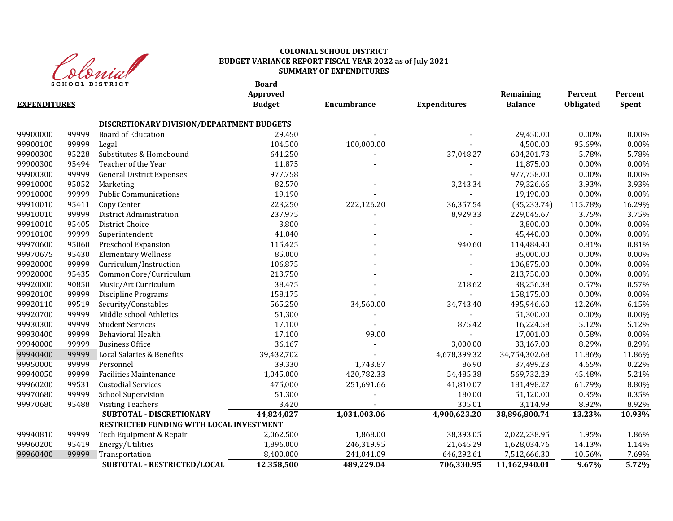

**Board**

| <b>EXPENDITURES</b> |       |                                           | Approved<br><b>Budget</b> | Encumbrance  | <b>Expenditures</b> | Remaining<br><b>Balance</b> | Percent<br><b>Obligated</b> | Percent<br>Spent |
|---------------------|-------|-------------------------------------------|---------------------------|--------------|---------------------|-----------------------------|-----------------------------|------------------|
|                     |       | DISCRETIONARY DIVISION/DEPARTMENT BUDGETS |                           |              |                     |                             |                             |                  |
| 99900000            | 99999 | Board of Education                        | 29,450                    |              |                     | 29,450.00                   | 0.00%                       | 0.00%            |
| 99900100            | 99999 | Legal                                     | 104,500                   | 100,000.00   |                     | 4,500.00                    | 95.69%                      | 0.00%            |
| 99900300            | 95228 | Substitutes & Homebound                   | 641,250                   |              | 37,048.27           | 604,201.73                  | 5.78%                       | 5.78%            |
| 99900300            | 95494 | Teacher of the Year                       | 11,875                    |              |                     | 11,875.00                   | 0.00%                       | 0.00%            |
| 99900300            | 99999 | <b>General District Expenses</b>          | 977,758                   |              |                     | 977,758.00                  | 0.00%                       | 0.00%            |
| 99910000            | 95052 | Marketing                                 | 82,570                    |              | 3,243.34            | 79,326.66                   | 3.93%                       | 3.93%            |
| 99910000            | 99999 | <b>Public Communications</b>              | 19,190                    |              |                     | 19,190.00                   | 0.00%                       | 0.00%            |
| 99910010            | 95411 | Copy Center                               | 223,250                   | 222,126.20   | 36,357.54           | (35, 233.74)                | 115.78%                     | 16.29%           |
| 99910010            | 99999 | District Administration                   | 237,975                   |              | 8,929.33            | 229,045.67                  | 3.75%                       | 3.75%            |
| 99910010            | 95405 | District Choice                           | 3,800                     |              |                     | 3,800.00                    | 0.00%                       | 0.00%            |
| 99910100            | 99999 | Superintendent                            | 41,040                    |              |                     | 45,440.00                   | 0.00%                       | 0.00%            |
| 99970600            | 95060 | Preschool Expansion                       | 115,425                   |              | 940.60              | 114,484.40                  | 0.81%                       | 0.81%            |
| 99970675            | 95430 | <b>Elementary Wellness</b>                | 85,000                    |              |                     | 85,000.00                   | $0.00\%$                    | 0.00%            |
| 99920000            | 99999 | Curriculum/Instruction                    | 106,875                   |              |                     | 106,875.00                  | 0.00%                       | 0.00%            |
| 99920000            | 95435 | Common Core/Curriculum                    | 213,750                   |              |                     | 213,750.00                  | $0.00\%$                    | 0.00%            |
| 99920000            | 90850 | Music/Art Curriculum                      | 38,475                    |              | 218.62              | 38,256.38                   | 0.57%                       | 0.57%            |
| 99920100            | 99999 | <b>Discipline Programs</b>                | 158,175                   |              |                     | 158,175.00                  | 0.00%                       | 0.00%            |
| 99920110            | 99519 | Security/Constables                       | 565,250                   | 34,560.00    | 34,743.40           | 495,946.60                  | 12.26%                      | 6.15%            |
| 99920700            | 99999 | Middle school Athletics                   | 51,300                    |              |                     | 51,300.00                   | 0.00%                       | 0.00%            |
| 99930300            | 99999 | <b>Student Services</b>                   | 17,100                    |              | 875.42              | 16,224.58                   | 5.12%                       | 5.12%            |
| 99930400            | 99999 | <b>Behavioral Health</b>                  | 17,100                    | 99.00        |                     | 17,001.00                   | 0.58%                       | 0.00%            |
| 99940000            | 99999 | <b>Business Office</b>                    | 36,167                    |              | 3,000.00            | 33,167.00                   | 8.29%                       | 8.29%            |
| 99940400            | 99999 | Local Salaries & Benefits                 | 39,432,702                |              | 4,678,399.32        | 34,754,302.68               | 11.86%                      | 11.86%           |
| 99950000            | 99999 | Personnel                                 | 39,330                    | 1,743.87     | 86.90               | 37,499.23                   | 4.65%                       | 0.22%            |
| 99940050            | 99999 | <b>Facilities Maintenance</b>             | 1,045,000                 | 420,782.33   | 54,485.38           | 569,732.29                  | 45.48%                      | 5.21%            |
| 99960200            | 99531 | <b>Custodial Services</b>                 | 475,000                   | 251,691.66   | 41,810.07           | 181,498.27                  | 61.79%                      | 8.80%            |
| 99970680            | 99999 | <b>School Supervision</b>                 | 51,300                    |              | 180.00              | 51,120.00                   | 0.35%                       | 0.35%            |
| 99970680            | 95488 | <b>Visiting Teachers</b>                  | 3,420                     |              | 305.01              | 3,114.99                    | 8.92%                       | 8.92%            |
|                     |       | SUBTOTAL - DISCRETIONARY                  | 44,824,027                | 1,031,003.06 | 4,900,623.20        | 38,896,800.74               | 13.23%                      | 10.93%           |
|                     |       | RESTRICTED FUNDING WITH LOCAL INVESTMENT  |                           |              |                     |                             |                             |                  |
| 99940810            | 99999 | Tech Equipment & Repair                   | 2,062,500                 | 1,868.00     | 38,393.05           | 2,022,238.95                | 1.95%                       | 1.86%            |
| 99960200            | 95419 | Energy/Utilities                          | 1,896,000                 | 246,319.95   | 21,645.29           | 1,628,034.76                | 14.13%                      | 1.14%            |
| 99960400            | 99999 | Transportation                            | 8,400,000                 | 241,041.09   | 646,292.61          | 7,512,666.30                | 10.56%                      | 7.69%            |
|                     |       | SUBTOTAL - RESTRICTED/LOCAL               | 12,358,500                | 489,229.04   | 706,330.95          | 11,162,940.01               | 9.67%                       | 5.72%            |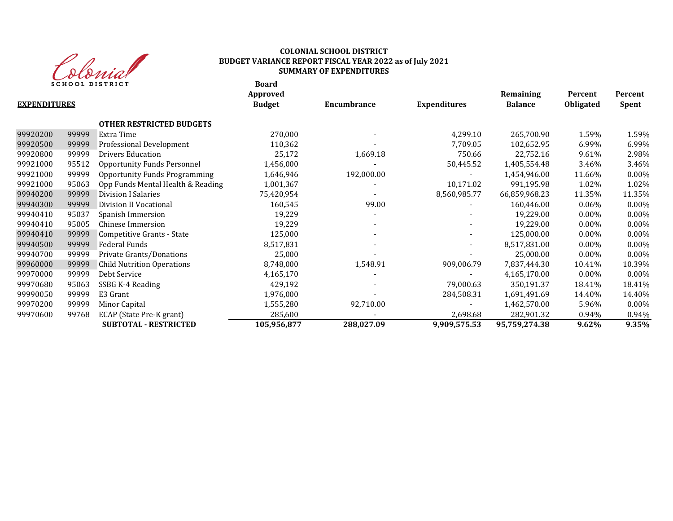

**Board**

|                     |       |                                      | Approved      |                          |                     | Remaining      | Percent          | Percent      |
|---------------------|-------|--------------------------------------|---------------|--------------------------|---------------------|----------------|------------------|--------------|
| <b>EXPENDITURES</b> |       |                                      | <b>Budget</b> | Encumbrance              | <b>Expenditures</b> | <b>Balance</b> | <b>Obligated</b> | <b>Spent</b> |
|                     |       | <b>OTHER RESTRICTED BUDGETS</b>      |               |                          |                     |                |                  |              |
| 99920200            | 99999 | Extra Time                           | 270,000       |                          | 4,299.10            | 265,700.90     | 1.59%            | 1.59%        |
| 99920500            | 99999 | Professional Development             | 110,362       |                          | 7,709.05            | 102,652.95     | 6.99%            | 6.99%        |
| 99920800            | 99999 | <b>Drivers Education</b>             | 25,172        | 1,669.18                 | 750.66              | 22,752.16      | 9.61%            | 2.98%        |
| 99921000            | 95512 | <b>Opportunity Funds Personnel</b>   | 1,456,000     |                          | 50,445.52           | 1,405,554.48   | 3.46%            | 3.46%        |
| 99921000            | 99999 | <b>Opportunity Funds Programming</b> | 1,646,946     | 192,000.00               |                     | 1,454,946.00   | 11.66%           | $0.00\%$     |
| 99921000            | 95063 | Opp Funds Mental Health & Reading    | 1,001,367     |                          | 10,171.02           | 991,195.98     | 1.02%            | 1.02%        |
| 99940200            | 99999 | Division I Salaries                  | 75,420,954    |                          | 8,560,985.77        | 66,859,968.23  | 11.35%           | 11.35%       |
| 99940300            | 99999 | Division II Vocational               | 160,545       | 99.00                    |                     | 160,446.00     | $0.06\%$         | 0.00%        |
| 99940410            | 95037 | Spanish Immersion                    | 19,229        |                          |                     | 19,229.00      | $0.00\%$         | 0.00%        |
| 99940410            | 95005 | Chinese Immersion                    | 19,229        |                          |                     | 19,229.00      | $0.00\%$         | $0.00\%$     |
| 99940410            | 99999 | Competitive Grants - State           | 125,000       | $\overline{\phantom{a}}$ |                     | 125,000.00     | $0.00\%$         | 0.00%        |
| 99940500            | 99999 | Federal Funds                        | 8,517,831     | $\overline{\phantom{0}}$ |                     | 8,517,831.00   | $0.00\%$         | 0.00%        |
| 99940700            | 99999 | Private Grants/Donations             | 25,000        |                          |                     | 25,000.00      | $0.00\%$         | 0.00%        |
| 99960000            | 99999 | <b>Child Nutrition Operations</b>    | 8,748,000     | 1,548.91                 | 909,006.79          | 7,837,444.30   | 10.41%           | 10.39%       |
| 99970000            | 99999 | Debt Service                         | 4,165,170     |                          |                     | 4,165,170.00   | $0.00\%$         | $0.00\%$     |
| 99970680            | 95063 | SSBG K-4 Reading                     | 429,192       |                          | 79,000.63           | 350,191.37     | 18.41%           | 18.41%       |
| 99990050            | 99999 | E3 Grant                             | 1,976,000     |                          | 284,508.31          | 1,691,491.69   | 14.40%           | 14.40%       |
| 99970200            | 99999 | Minor Capital                        | 1,555,280     | 92,710.00                |                     | 1,462,570.00   | 5.96%            | 0.00%        |
| 99970600            | 99768 | ECAP (State Pre-K grant)             | 285,600       |                          | 2,698.68            | 282,901.32     | 0.94%            | 0.94%        |
|                     |       | <b>SUBTOTAL - RESTRICTED</b>         | 105,956,877   | 288,027.09               | 9,909,575.53        | 95,759,274.38  | 9.62%            | 9.35%        |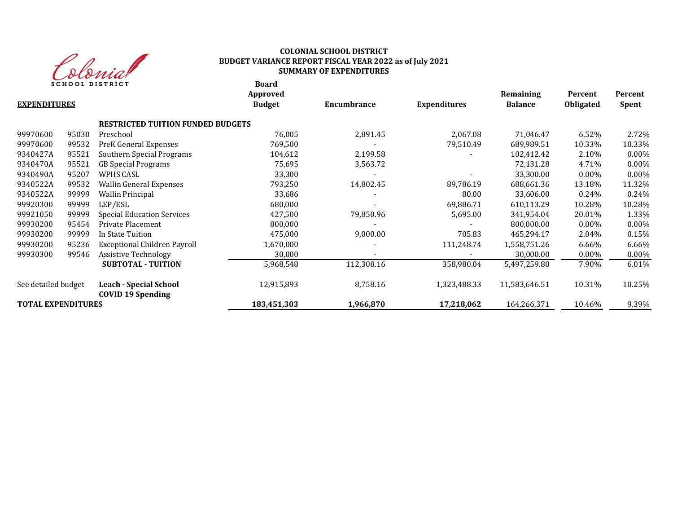

**Board**

| <b>EXPENDITURES</b>       |       |                                                           | Approved<br><b>Budget</b> | Encumbrance | <b>Expenditures</b> | Remaining<br><b>Balance</b> | Percent<br><b>Obligated</b> | Percent<br><b>Spent</b> |
|---------------------------|-------|-----------------------------------------------------------|---------------------------|-------------|---------------------|-----------------------------|-----------------------------|-------------------------|
|                           |       | <b>RESTRICTED TUITION FUNDED BUDGETS</b>                  |                           |             |                     |                             |                             |                         |
| 99970600                  | 95030 | Preschool                                                 | 76,005                    | 2,891.45    | 2,067.08            | 71,046.47                   | 6.52%                       | 2.72%                   |
| 99970600                  | 99532 | PreK General Expenses                                     | 769,500                   |             | 79,510.49           | 689,989.51                  | 10.33%                      | 10.33%                  |
| 9340427A                  | 95521 | Southern Special Programs                                 | 104,612                   | 2,199.58    |                     | 102,412.42                  | 2.10%                       | $0.00\%$                |
| 9340470A                  | 95521 | <b>GB</b> Special Programs                                | 75,695                    | 3,563.72    |                     | 72,131.28                   | 4.71%                       | $0.00\%$                |
| 9340490A                  | 95207 | WPHS CASL                                                 | 33,300                    |             |                     | 33,300.00                   | $0.00\%$                    | $0.00\%$                |
| 9340522A                  | 99532 | <b>Wallin General Expenses</b>                            | 793,250                   | 14,802.45   | 89,786.19           | 688,661.36                  | 13.18%                      | 11.32%                  |
| 9340522A                  | 99999 | <b>Wallin Principal</b>                                   | 33,686                    |             | 80.00               | 33,606.00                   | 0.24%                       | 0.24%                   |
| 99920300                  | 99999 | LEP/ESL                                                   | 680,000                   |             | 69,886.71           | 610,113.29                  | 10.28%                      | 10.28%                  |
| 99921050                  | 99999 | <b>Special Education Services</b>                         | 427,500                   | 79,850.96   | 5,695.00            | 341,954.04                  | 20.01%                      | 1.33%                   |
| 99930200                  | 95454 | Private Placement                                         | 800,000                   |             |                     | 800.000.00                  | $0.00\%$                    | $0.00\%$                |
| 99930200                  | 99999 | In State Tuition                                          | 475,000                   | 9,000.00    | 705.83              | 465,294.17                  | 2.04%                       | 0.15%                   |
| 99930200                  | 95236 | Exceptional Children Payroll                              | 1,670,000                 |             | 111,248.74          | 1,558,751.26                | 6.66%                       | 6.66%                   |
| 99930300                  | 99546 | <b>Assistive Technology</b>                               | 30,000                    |             |                     | 30,000.00                   | $0.00\%$                    | $0.00\%$                |
|                           |       | <b>SUBTOTAL - TUITION</b>                                 | 5,968,548                 | 112,308.16  | 358,980.04          | 5,497,259.80                | 7.90%                       | 6.01%                   |
| See detailed budget       |       | <b>Leach - Special School</b><br><b>COVID 19 Spending</b> | 12,915,893                | 8,758.16    | 1,323,488.33        | 11,583,646.51               | 10.31%                      | 10.25%                  |
| <b>TOTAL EXPENDITURES</b> |       |                                                           | 183,451,303               | 1,966,870   | 17,218,062          | 164,266,371                 | 10.46%                      | 9.39%                   |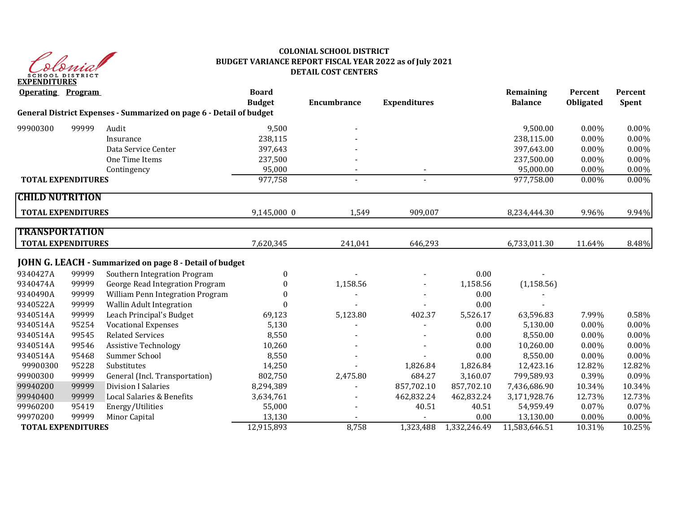

# **COLONIAL SCHOOL DISTRICT BUDGET VARIANCE REPORT FISCAL YEAR 2022 as of July 2021 DETAIL COST CENTERS**

| <b>Operating Program</b>  |       |                                                                     | <b>Board</b><br><b>Budget</b> | <b>Encumbrance</b> | <b>Expenditures</b> |              | Remaining<br><b>Balance</b> | Percent<br>Obligated | Percent<br>Spent |
|---------------------------|-------|---------------------------------------------------------------------|-------------------------------|--------------------|---------------------|--------------|-----------------------------|----------------------|------------------|
|                           |       | General District Expenses - Summarized on page 6 - Detail of budget |                               |                    |                     |              |                             |                      |                  |
| 99900300                  | 99999 | Audit                                                               | 9,500                         |                    |                     |              | 9,500.00                    | 0.00%                | 0.00%            |
|                           |       | Insurance                                                           | 238,115                       |                    |                     |              | 238,115.00                  | 0.00%                | 0.00%            |
|                           |       | Data Service Center                                                 | 397,643                       |                    |                     |              | 397,643.00                  | $0.00\%$             | $0.00\%$         |
|                           |       | One Time Items                                                      | 237,500                       |                    |                     |              | 237,500.00                  | 0.00%                | 0.00%            |
|                           |       | Contingency                                                         | 95,000                        |                    |                     |              | 95,000.00                   | 0.00%                | 0.00%            |
| <b>TOTAL EXPENDITURES</b> |       |                                                                     | 977,758                       | $\blacksquare$     | $\sim$              |              | 977,758.00                  | 0.00%                | 0.00%            |
| <b>CHILD NUTRITION</b>    |       |                                                                     |                               |                    |                     |              |                             |                      |                  |
| <b>TOTAL EXPENDITURES</b> |       |                                                                     | 9,145,000 0                   | 1,549              | 909,007             |              | 8,234,444.30                | 9.96%                | 9.94%            |
| <b>TRANSPORTATION</b>     |       |                                                                     |                               |                    |                     |              |                             |                      |                  |
| <b>TOTAL EXPENDITURES</b> |       |                                                                     | 7,620,345                     | 241,041            | 646,293             |              | 6,733,011.30                | 11.64%               | 8.48%            |
|                           |       | JOHN G. LEACH - Summarized on page 8 - Detail of budget             |                               |                    |                     |              |                             |                      |                  |
| 9340427A                  | 99999 | Southern Integration Program                                        | $\mathbf{0}$                  |                    |                     | 0.00         |                             |                      |                  |
| 9340474A                  | 99999 | George Read Integration Program                                     | $\mathbf{0}$                  | 1,158.56           |                     | 1,158.56     | (1, 158.56)                 |                      |                  |
| 9340490A                  | 99999 | William Penn Integration Program                                    | $\Omega$                      |                    |                     | 0.00         |                             |                      |                  |
| 9340522A                  | 99999 | <b>Wallin Adult Integration</b>                                     | $\Omega$                      |                    |                     | 0.00         |                             |                      |                  |
| 9340514A                  | 99999 | Leach Principal's Budget                                            | 69,123                        | 5,123.80           | 402.37              | 5,526.17     | 63,596.83                   | 7.99%                | 0.58%            |
| 9340514A                  | 95254 | <b>Vocational Expenses</b>                                          | 5,130                         |                    |                     | 0.00         | 5,130.00                    | 0.00%                | 0.00%            |
| 9340514A                  | 99545 | <b>Related Services</b>                                             | 8,550                         |                    |                     | 0.00         | 8,550.00                    | $0.00\%$             | 0.00%            |
| 9340514A                  | 99546 | <b>Assistive Technology</b>                                         | 10,260                        |                    |                     | 0.00         | 10,260.00                   | $0.00\%$             | 0.00%            |
| 9340514A                  | 95468 | Summer School                                                       | 8,550                         |                    |                     | 0.00         | 8,550.00                    | 0.00%                | 0.00%            |
| 99900300                  | 95228 | Substitutes                                                         | 14,250                        |                    | 1,826.84            | 1,826.84     | 12,423.16                   | 12.82%               | 12.82%           |
| 99900300                  | 99999 | General (Incl. Transportation)                                      | 802,750                       | 2,475.80           | 684.27              | 3,160.07     | 799,589.93                  | 0.39%                | 0.09%            |
| 99940200                  | 99999 | <b>Division I Salaries</b>                                          | 8,294,389                     |                    | 857,702.10          | 857,702.10   | 7,436,686.90                | 10.34%               | 10.34%           |
| 99940400                  | 99999 | Local Salaries & Benefits                                           | 3,634,761                     |                    | 462,832.24          | 462,832.24   | 3,171,928.76                | 12.73%               | 12.73%           |
| 99960200                  | 95419 | Energy/Utilities                                                    | 55,000                        |                    | 40.51               | 40.51        | 54,959.49                   | 0.07%                | 0.07%            |
| 99970200                  | 99999 | Minor Capital                                                       | 13,130                        |                    |                     | 0.00         | 13,130.00                   | 0.00%                | 0.00%            |
| <b>TOTAL EXPENDITURES</b> |       |                                                                     | 12,915,893                    | 8,758              | 1,323,488           | 1,332,246.49 | 11,583,646.51               | 10.31%               | 10.25%           |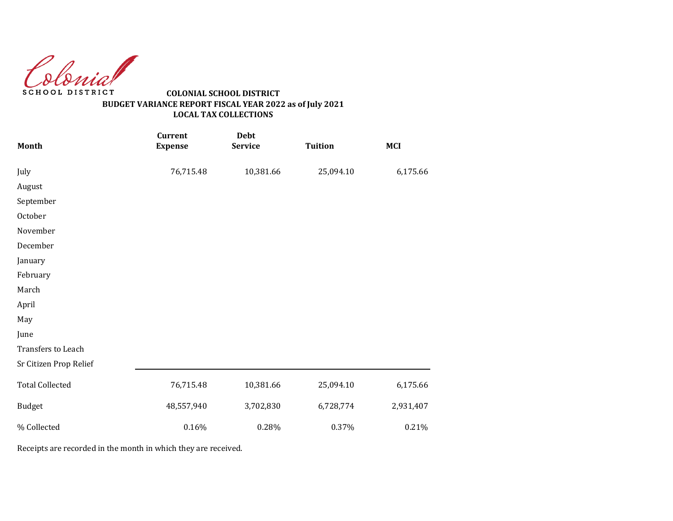Colonial SCHOOL DISTRICT

# **COLONIAL SCHOOL DISTRICT BUDGET VARIANCE REPORT FISCAL YEAR 2022 as of July 2021 LOCAL TAX COLLECTIONS**

| Month                  | <b>Current</b><br><b>Expense</b> | Debt<br><b>Service</b> | <b>Tuition</b> | <b>MCI</b> |
|------------------------|----------------------------------|------------------------|----------------|------------|
| July                   | 76,715.48                        | 10,381.66              | 25,094.10      | 6,175.66   |
| August                 |                                  |                        |                |            |
| September              |                                  |                        |                |            |
| October                |                                  |                        |                |            |
| November               |                                  |                        |                |            |
| December               |                                  |                        |                |            |
| January                |                                  |                        |                |            |
| February               |                                  |                        |                |            |
| March                  |                                  |                        |                |            |
| April                  |                                  |                        |                |            |
| May                    |                                  |                        |                |            |
| June                   |                                  |                        |                |            |
| Transfers to Leach     |                                  |                        |                |            |
| Sr Citizen Prop Relief |                                  |                        |                |            |
| <b>Total Collected</b> | 76,715.48                        | 10,381.66              | 25,094.10      | 6,175.66   |
| <b>Budget</b>          | 48,557,940                       | 3,702,830              | 6,728,774      | 2,931,407  |
| % Collected            | 0.16%                            | 0.28%                  | 0.37%          | 0.21%      |

Receipts are recorded in the month in which they are received.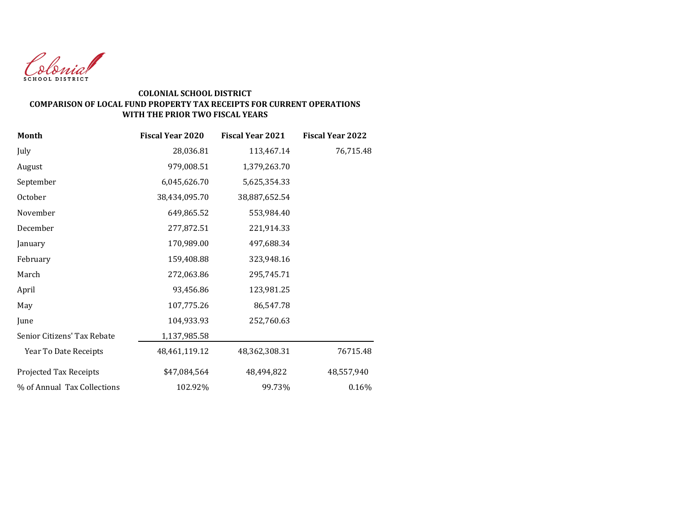

#### **COLONIAL SCHOOL DISTRICT COMPARISON OF LOCAL FUND PROPERTY TAX RECEIPTS FOR CURRENT OPERATIONS WITH THE PRIOR TWO FISCAL YEARS**

| Month                       | <b>Fiscal Year 2020</b> | <b>Fiscal Year 2021</b> | <b>Fiscal Year 2022</b> |
|-----------------------------|-------------------------|-------------------------|-------------------------|
| July                        | 28,036.81               | 113,467.14              | 76,715.48               |
| August                      | 979,008.51              | 1,379,263.70            |                         |
| September                   | 6,045,626.70            | 5,625,354.33            |                         |
| October                     | 38,434,095.70           | 38,887,652.54           |                         |
| November                    | 649,865.52              | 553,984.40              |                         |
| December                    | 277,872.51              | 221,914.33              |                         |
| January                     | 170,989.00              | 497,688.34              |                         |
| February                    | 159,408.88              | 323,948.16              |                         |
| March                       | 272,063.86              | 295,745.71              |                         |
| April                       | 93,456.86               | 123,981.25              |                         |
| May                         | 107,775.26              | 86,547.78               |                         |
| June                        | 104,933.93              | 252,760.63              |                         |
| Senior Citizens' Tax Rebate | 1,137,985.58            |                         |                         |
| Year To Date Receipts       | 48,461,119.12           | 48,362,308.31           | 76715.48                |
| Projected Tax Receipts      | \$47,084,564            | 48,494,822              | 48,557,940              |
| % of Annual Tax Collections | 102.92%                 | 99.73%                  | 0.16%                   |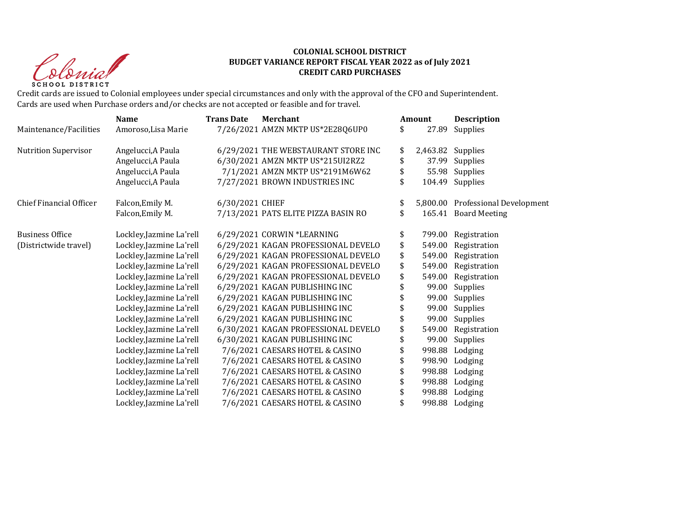Christ SCHOOL DISTRICT

#### **COLONIAL SCHOOL DISTRICT BUDGET VARIANCE REPORT FISCAL YEAR 2022 as of July 2021 CREDIT CARD PURCHASES**

Credit cards are issued to Colonial employees under special circumstances and only with the approval of the CFO and Superintendent. Cards are used when Purchase orders and/or checks are not accepted or feasible and for travel.

|                             | <b>Name</b>              | <b>Trans Date</b> | <b>Merchant</b>                     | <b>Amount</b> | <b>Description</b>                |
|-----------------------------|--------------------------|-------------------|-------------------------------------|---------------|-----------------------------------|
| Maintenance/Facilities      | Amoroso, Lisa Marie      |                   | 7/26/2021 AMZN MKTP US*2E28Q6UP0    | \$<br>27.89   | Supplies                          |
| <b>Nutrition Supervisor</b> | Angelucci, A Paula       |                   | 6/29/2021 THE WEBSTAURANT STORE INC | \$            | 2,463.82 Supplies                 |
|                             | Angelucci, A Paula       |                   | 6/30/2021 AMZN MKTP US*215UI2RZ2    | \$            | 37.99 Supplies                    |
|                             | Angelucci, A Paula       |                   | 7/1/2021 AMZN MKTP US*2191M6W62     | \$            | 55.98 Supplies                    |
|                             | Angelucci, A Paula       |                   | 7/27/2021 BROWN INDUSTRIES INC      | \$            | 104.49 Supplies                   |
| Chief Financial Officer     | Falcon, Emily M.         | 6/30/2021 CHIEF   |                                     | \$            | 5,800.00 Professional Development |
|                             | Falcon, Emily M.         |                   | 7/13/2021 PATS ELITE PIZZA BASIN RO | \$            | 165.41 Board Meeting              |
| <b>Business Office</b>      | Lockley, Jazmine La'rell |                   | 6/29/2021 CORWIN *LEARNING          | \$            | 799.00 Registration               |
| (Districtwide travel)       | Lockley, Jazmine La'rell |                   | 6/29/2021 KAGAN PROFESSIONAL DEVELO | \$<br>549.00  | Registration                      |
|                             | Lockley, Jazmine La'rell |                   | 6/29/2021 KAGAN PROFESSIONAL DEVELO | \$<br>549.00  | Registration                      |
|                             | Lockley, Jazmine La'rell |                   | 6/29/2021 KAGAN PROFESSIONAL DEVELO | \$<br>549.00  | Registration                      |
|                             | Lockley, Jazmine La'rell |                   | 6/29/2021 KAGAN PROFESSIONAL DEVELO | \$<br>549.00  | Registration                      |
|                             | Lockley, Jazmine La'rell |                   | 6/29/2021 KAGAN PUBLISHING INC      | 99.00         | Supplies                          |
|                             | Lockley, Jazmine La'rell |                   | 6/29/2021 KAGAN PUBLISHING INC      |               | 99.00 Supplies                    |
|                             | Lockley, Jazmine La'rell |                   | 6/29/2021 KAGAN PUBLISHING INC      | 99.00         | Supplies                          |
|                             | Lockley, Jazmine La'rell |                   | 6/29/2021 KAGAN PUBLISHING INC      | 99.00         | Supplies                          |
|                             | Lockley, Jazmine La'rell |                   | 6/30/2021 KAGAN PROFESSIONAL DEVELO | \$<br>549.00  | Registration                      |
|                             | Lockley, Jazmine La'rell |                   | 6/30/2021 KAGAN PUBLISHING INC      | 99.00         | Supplies                          |
|                             | Lockley, Jazmine La'rell |                   | 7/6/2021 CAESARS HOTEL & CASINO     | 998.88        | Lodging                           |
|                             | Lockley, Jazmine La'rell |                   | 7/6/2021 CAESARS HOTEL & CASINO     | 998.90        | Lodging                           |
|                             | Lockley, Jazmine La'rell |                   | 7/6/2021 CAESARS HOTEL & CASINO     | 998.88        | Lodging                           |
|                             | Lockley, Jazmine La'rell |                   | 7/6/2021 CAESARS HOTEL & CASINO     | 998.88        | Lodging                           |
|                             | Lockley, Jazmine La'rell |                   | 7/6/2021 CAESARS HOTEL & CASINO     | 998.88        | Lodging                           |
|                             | Lockley, Jazmine La'rell |                   | 7/6/2021 CAESARS HOTEL & CASINO     | 998.88        | Lodging                           |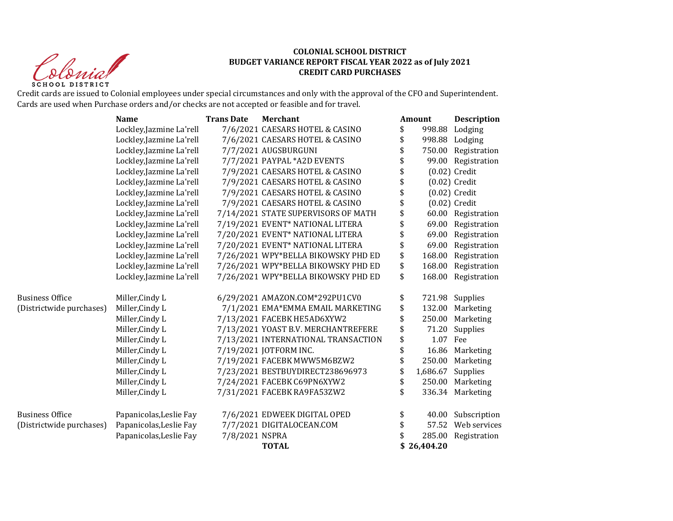Christ **SCHOOL DISTRICT** 

#### **COLONIAL SCHOOL DISTRICT BUDGET VARIANCE REPORT FISCAL YEAR 2022 as of July 2021 CREDIT CARD PURCHASES**

Credit cards are issued to Colonial employees under special circumstances and only with the approval of the CFO and Superintendent. Cards are used when Purchase orders and/or checks are not accepted or feasible and for travel.

|                          | <b>Name</b>              | <b>Trans Date</b> | <b>Merchant</b>                     | Amount         | <b>Description</b>  |
|--------------------------|--------------------------|-------------------|-------------------------------------|----------------|---------------------|
|                          | Lockley, Jazmine La'rell |                   | 7/6/2021 CAESARS HOTEL & CASINO     | \$<br>998.88   | Lodging             |
|                          | Lockley, Jazmine La'rell |                   | 7/6/2021 CAESARS HOTEL & CASINO     | \$             | 998.88 Lodging      |
|                          | Lockley, Jazmine La'rell |                   | 7/7/2021 AUGSBURGUNI                | \$             | 750.00 Registration |
|                          | Lockley, Jazmine La'rell |                   | 7/7/2021 PAYPAL *A2D EVENTS         |                | 99.00 Registration  |
|                          | Lockley, Jazmine La'rell |                   | 7/9/2021 CAESARS HOTEL & CASINO     |                | $(0.02)$ Credit     |
|                          | Lockley, Jazmine La'rell |                   | 7/9/2021 CAESARS HOTEL & CASINO     | \$             | $(0.02)$ Credit     |
|                          | Lockley, Jazmine La'rell |                   | 7/9/2021 CAESARS HOTEL & CASINO     |                | $(0.02)$ Credit     |
|                          | Lockley, Jazmine La'rell |                   | 7/9/2021 CAESARS HOTEL & CASINO     |                | $(0.02)$ Credit     |
|                          | Lockley, Jazmine La'rell |                   | 7/14/2021 STATE SUPERVISORS OF MATH | \$             | 60.00 Registration  |
|                          | Lockley, Jazmine La'rell |                   | 7/19/2021 EVENT* NATIONAL LITERA    | 69.00          | Registration        |
|                          | Lockley, Jazmine La'rell |                   | 7/20/2021 EVENT* NATIONAL LITERA    |                | 69.00 Registration  |
|                          | Lockley, Jazmine La'rell |                   | 7/20/2021 EVENT* NATIONAL LITERA    | \$<br>69.00    | Registration        |
|                          | Lockley, Jazmine La'rell |                   | 7/26/2021 WPY*BELLA BIKOWSKY PHD ED | \$<br>168.00   | Registration        |
|                          | Lockley, Jazmine La'rell |                   | 7/26/2021 WPY*BELLA BIKOWSKY PHD ED | \$<br>168.00   | Registration        |
|                          | Lockley, Jazmine La'rell |                   | 7/26/2021 WPY*BELLA BIKOWSKY PHD ED | \$<br>168.00   | Registration        |
| <b>Business Office</b>   | Miller, Cindy L          |                   | 6/29/2021 AMAZON.COM*292PU1CV0      | \$             | 721.98 Supplies     |
| (Districtwide purchases) | Miller, Cindy L          |                   | 7/1/2021 EMA*EMMA EMAIL MARKETING   | \$<br>132.00   | Marketing           |
|                          | Miller, Cindy L          |                   | 7/13/2021 FACEBK HE5AD6XYW2         | 250.00         | Marketing           |
|                          | Miller, Cindy L          |                   | 7/13/2021 YOAST B.V. MERCHANTREFERE | 71.20          | Supplies            |
|                          | Miller, Cindy L          |                   | 7/13/2021 INTERNATIONAL TRANSACTION | \$<br>1.07 Fee |                     |
|                          | Miller, Cindy L          |                   | 7/19/2021 JOTFORM INC.              | \$<br>16.86    | Marketing           |
|                          | Miller, Cindy L          |                   | 7/19/2021 FACEBK MWW5M6BZW2         | 250.00         | Marketing           |
|                          | Miller, Cindy L          |                   | 7/23/2021 BESTBUYDIRECT238696973    | \$<br>1,686.67 | Supplies            |
|                          | Miller, Cindy L          |                   | 7/24/2021 FACEBK C69PN6XYW2         | \$<br>250.00   | Marketing           |
|                          | Miller, Cindy L          |                   | 7/31/2021 FACEBK RA9FA53ZW2         | \$             | 336.34 Marketing    |
| <b>Business Office</b>   | Papanicolas, Leslie Fay  |                   | 7/6/2021 EDWEEK DIGITAL OPED        | \$<br>40.00    | Subscription        |
| (Districtwide purchases) | Papanicolas, Leslie Fay  |                   | 7/7/2021 DIGITALOCEAN.COM           | 57.52          | Web services        |
|                          | Papanicolas, Leslie Fay  | 7/8/2021 NSPRA    |                                     | 285.00         | Registration        |
|                          |                          |                   | <b>TOTAL</b>                        | 26,404.20      |                     |